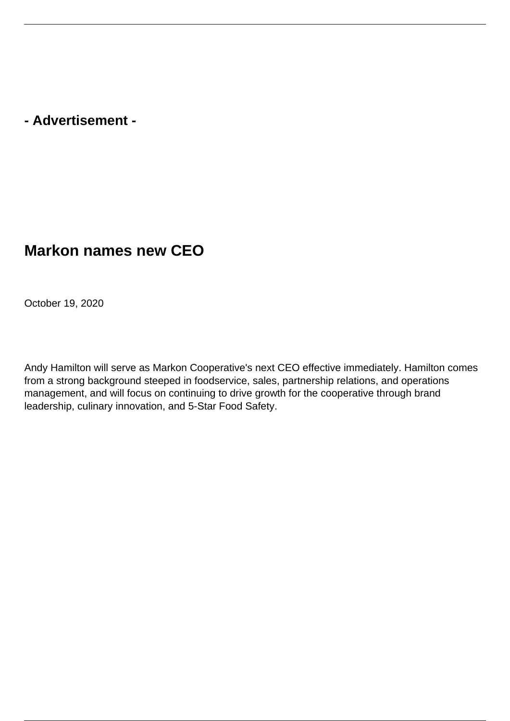**- Advertisement -**

## **Markon names new CEO**

October 19, 2020

Andy Hamilton will serve as Markon Cooperative's next CEO effective immediately. Hamilton comes from a strong background steeped in foodservice, sales, partnership relations, and operations management, and will focus on continuing to drive growth for the cooperative through brand leadership, culinary innovation, and 5-Star Food Safety.